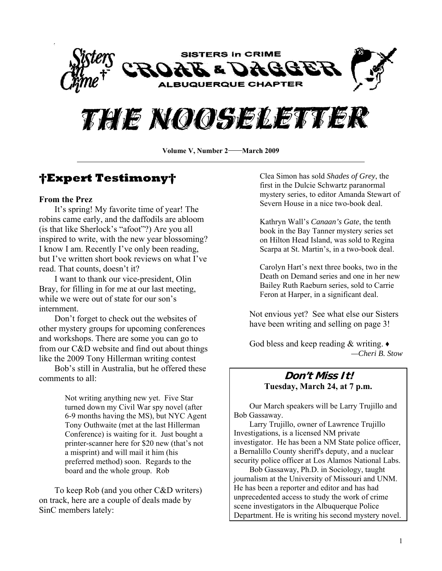



Volume V, Number 2—March 2009

## **†Expert Testimony†**

#### **From the Prez**

It's spring! My favorite time of year! The robins came early, and the daffodils are abloom (is that like Sherlock's "afoot"?) Are you all inspired to write, with the new year blossoming? I know I am. Recently I've only been reading, but I've written short book reviews on what I've read. That counts, doesn't it?

 I want to thank our vice-president, Olin Bray, for filling in for me at our last meeting, while we were out of state for our son's internment.

 Don't forget to check out the websites of other mystery groups for upcoming conferences and workshops. There are some you can go to from our C&D website and find out about things like the 2009 Tony Hillerman writing contest

Bob's still in Australia, but he offered these comments to all:

> Not writing anything new yet. Five Star turned down my Civil War spy novel (after 6-9 months having the MS), but NYC Agent Tony Outhwaite (met at the last Hillerman Conference) is waiting for it. Just bought a printer-scanner here for \$20 new (that's not a misprint) and will mail it him (his preferred method) soon. Regards to the board and the whole group. Rob

To keep Rob (and you other C&D writers) on track, here are a couple of deals made by SinC members lately:

Clea Simon has sold *Shades of Grey*, the first in the Dulcie Schwartz paranormal mystery series, to editor Amanda Stewart of Severn House in a nice two-book deal.

Kathryn Wall's *Canaan's Gate*, the tenth book in the Bay Tanner mystery series set on Hilton Head Island, was sold to Regina Scarpa at St. Martin's, in a two-book deal.

Carolyn Hart's next three books, two in the Death on Demand series and one in her new Bailey Ruth Raeburn series, sold to Carrie Feron at Harper, in a significant deal.

Not envious yet? See what else our Sisters have been writing and selling on page 3!

God bless and keep reading & writing. ♦ *—Cheri B. Stow* 

#### **Don't Miss It! Tuesday, March 24, at 7 p.m.**

Our March speakers will be Larry Trujillo and Bob Gassaway.

 Larry Trujillo, owner of Lawrence Trujillo Investigations, is a licensed NM private investigator. He has been a NM State police officer, a Bernalillo County sheriff's deputy, and a nuclear security police officer at Los Alamos National Labs.

 Bob Gassaway, Ph.D. in Sociology, taught journalism at the University of Missouri and UNM. He has been a reporter and editor and has had unprecedented access to study the work of crime scene investigators in the Albuquerque Police Department. He is writing his second mystery novel.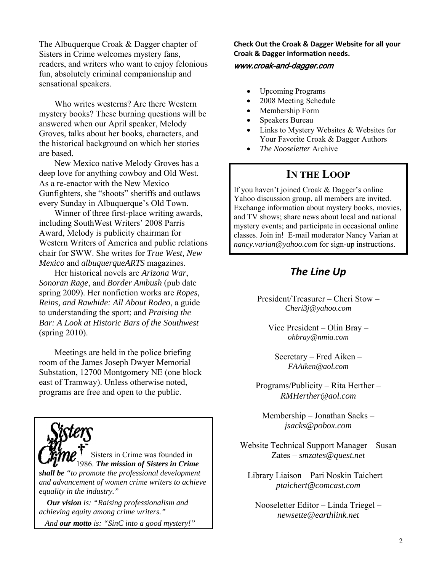The Albuquerque Croak & Dagger chapter of Sisters in Crime welcomes mystery fans, readers, and writers who want to enjoy felonious fun, absolutely criminal companionship and sensational speakers.

 Who writes westerns? Are there Western mystery books? These burning questions will be answered when our April speaker, Melody Groves, talks about her books, characters, and the historical background on which her stories are based.

 New Mexico native Melody Groves has a deep love for anything cowboy and Old West. As a re-enactor with the New Mexico Gunfighters, she "shoots" sheriffs and outlaws every Sunday in Albuquerque's Old Town.

 Winner of three first-place writing awards, including SouthWest Writers' 2008 Parris Award, Melody is publicity chairman for Western Writers of America and public relations chair for SWW. She writes for *True West, New Mexico* and *albuquerqueARTS* magazines.

 Her historical novels are *Arizona War*, *Sonoran Rage*, and *Border Ambush* (pub date spring 2009). Her nonfiction works are *Ropes, Reins, and Rawhide: All About Rodeo*, a guide to understanding the sport; and *Praising the Bar: A Look at Historic Bars of the Southwest* (spring 2010).

 Meetings are held in the police briefing room of the James Joseph Dwyer Memorial Substation, 12700 Montgomery NE (one block east of Tramway). Unless otherwise noted, programs are free and open to the public.

Sisters in Crime was founded in 1986. *The mission of Sisters in Crime shall be "to promote the professional development and advancement of women crime writers to achieve equality in the industry."* 

 *Our vision is: "Raising professionalism and achieving equity among crime writers."* 

 *And our motto is: "SinC into a good mystery!"*

**Check Out the Croak & Dagger Website for all your Croak & Dagger information needs.**

#### www.croak-and-dagger.com

- Upcoming Programs
- 2008 Meeting Schedule
- Membership Form
- Speakers Bureau
- Links to Mystery Websites & Websites for Your Favorite Croak & Dagger Authors
- *The Nooseletter* Archive

### **IN THE LOOP**

If you haven't joined Croak & Dagger's online Yahoo discussion group, all members are invited. Exchange information about mystery books, movies, and TV shows; share news about local and national mystery events; and participate in occasional online classes. Join in! E-mail moderator Nancy Varian at *[nancy.varian@yahoo.com](mailto:nancy.varian@yahoo.com)* for sign-up instructions.

## *The Line Up*

President/Treasurer – Cheri Stow – *[Cheri3j@yahoo.com](mailto:rkresge777@comcast.net)*

Vice President – Olin Bray – *[ohbray@nmia.com](mailto:ohbray@nmia.com)*

Secretary – Fred Aiken – *[FAAiken@aol.com](mailto:rkresge777@comcast.net)*

Programs/Publicity – Rita Herther – *RMHerther@aol.com*

Membership – Jonathan Sacks – *jsacks@pobox.com*

Website Technical Support Manager – Susan Zates – *smzates@quest.net*

Library Liaison – Pari Noskin Taichert – *[ptaichert@comcast.com](mailto:ptaichert@comcast.com)*

Nooseletter Editor – Linda Triegel – *newsette@earthlink.net*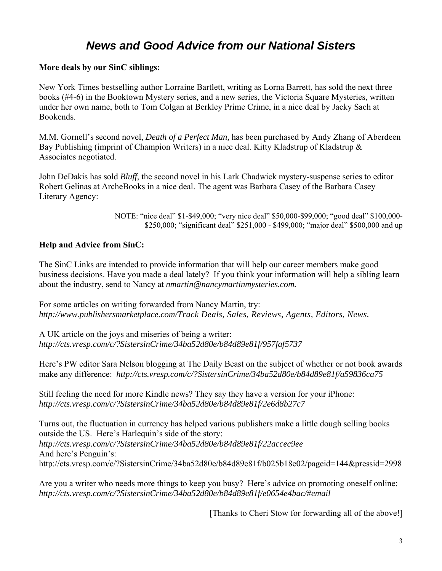## *News and Good Advice from our National Sisters*

#### **More deals by our SinC siblings:**

New York Times bestselling author Lorraine Bartlett, writing as Lorna Barrett, has sold the next three books (#4-6) in the Booktown Mystery series, and a new series, the Victoria Square Mysteries, written under her own name, both to Tom Colgan at Berkley Prime Crime, in a nice deal by Jacky Sach at Bookends.

M.M. Gornell's second novel, *Death of a Perfect Man,* has been purchased by Andy Zhang of Aberdeen Bay Publishing (imprint of Champion Writers) in a nice deal. Kitty Kladstrup of Kladstrup & Associates negotiated.

John DeDakis has sold *Bluff*, the second novel in his Lark Chadwick mystery-suspense series to editor Robert Gelinas at ArcheBooks in a nice deal. The agent was Barbara Casey of the Barbara Casey Literary Agency:

> NOTE: "nice deal" \$1-\$49,000; "very nice deal" \$50,000-\$99,000; "good deal" \$100,000- \$250,000; "significant deal" \$251,000 - \$499,000; "major deal" \$500,000 and up

#### **Help and Advice from SinC:**

The SinC Links are intended to provide information that will help our career members make good business decisions. Have you made a deal lately? If you think your information will help a sibling learn about the industry, send to Nancy at *[nmartin@nancymartinmysteries.com.](http://us.mc320.mail.yahoo.com/mc/compose?to=nmartin@nancymartinmysteries.com)*

For some articles on writing forwarded from Nancy Martin, try: *http://www.publishersmarketplace.com/Track Deals, Sales, Reviews, Agents, Editors, News.* 

A UK article on the joys and miseries of being a writer: *<http://cts.vresp.com/c/?SistersinCrime/34ba52d80e/b84d89e81f/957faf5737>*

Here's PW editor Sara Nelson blogging at The Daily Beast on the subject of whether or not book awards make any difference: *<http://cts.vresp.com/c/?SistersinCrime/34ba52d80e/b84d89e81f/a59836ca75>*

Still feeling the need for more Kindle news? They say they have a version for your iPhone: *<http://cts.vresp.com/c/?SistersinCrime/34ba52d80e/b84d89e81f/2e6d8b27c7>*

Turns out, the fluctuation in currency has helped various publishers make a little dough selling books outside the US. Here's Harlequin's side of the story: *<http://cts.vresp.com/c/?SistersinCrime/34ba52d80e/b84d89e81f/22accec9ee>* And here's Penguin's: <http://cts.vresp.com/c/?SistersinCrime/34ba52d80e/b84d89e81f/b025b18e02/pageid=144&pressid=2998>

Are you a writer who needs more things to keep you busy? Here's advice on promoting oneself online: *<http://cts.vresp.com/c/?SistersinCrime/34ba52d80e/b84d89e81f/e0654e4bac/#email>*

[Thanks to Cheri Stow for forwarding all of the above!]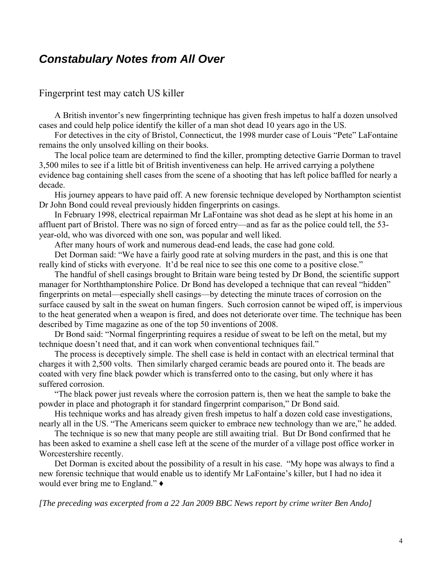## *Constabulary Notes from All Over*

#### Fingerprint test may catch US killer

 A British inventor's new fingerprinting technique has given fresh impetus to half a dozen unsolved cases and could help police identify the killer of a man shot dead 10 years ago in the US.

 For detectives in the city of Bristol, Connecticut, the 1998 murder case of Louis "Pete" LaFontaine remains the only unsolved killing on their books.

 The local police team are determined to find the killer, prompting detective Garrie Dorman to travel 3,500 miles to see if a little bit of British inventiveness can help. He arrived carrying a polythene evidence bag containing shell cases from the scene of a shooting that has left police baffled for nearly a decade.

 His journey appears to have paid off. A new forensic technique developed by Northampton scientist Dr John Bond could reveal previously hidden fingerprints on casings.

 In February 1998, electrical repairman Mr LaFontaine was shot dead as he slept at his home in an affluent part of Bristol. There was no sign of forced entry—and as far as the police could tell, the 53 year-old, who was divorced with one son, was popular and well liked.

After many hours of work and numerous dead-end leads, the case had gone cold.

 Det Dorman said: "We have a fairly good rate at solving murders in the past, and this is one that really kind of sticks with everyone. It'd be real nice to see this one come to a positive close."

 The handful of shell casings brought to Britain ware being tested by Dr Bond, the scientific support manager for Norththamptonshire Police. Dr Bond has developed a technique that can reveal "hidden" fingerprints on metal—especially shell casings—by detecting the minute traces of corrosion on the surface caused by salt in the sweat on human fingers. Such corrosion cannot be wiped off, is impervious to the heat generated when a weapon is fired, and does not deteriorate over time. The technique has been described by Time magazine as one of the top 50 inventions of 2008.

 Dr Bond said: "Normal fingerprinting requires a residue of sweat to be left on the metal, but my technique doesn't need that, and it can work when conventional techniques fail."

 The process is deceptively simple. The shell case is held in contact with an electrical terminal that charges it with 2,500 volts. Then similarly charged ceramic beads are poured onto it. The beads are coated with very fine black powder which is transferred onto to the casing, but only where it has suffered corrosion.

 "The black power just reveals where the corrosion pattern is, then we heat the sample to bake the powder in place and photograph it for standard fingerprint comparison," Dr Bond said.

 His technique works and has already given fresh impetus to half a dozen cold case investigations, nearly all in the US. "The Americans seem quicker to embrace new technology than we are," he added.

 The technique is so new that many people are still awaiting trial. But Dr Bond confirmed that he has been asked to examine a shell case left at the scene of the murder of a village post office worker in Worcestershire recently.

 Det Dorman is excited about the possibility of a result in his case. "My hope was always to find a new forensic technique that would enable us to identify Mr LaFontaine's killer, but I had no idea it would ever bring me to England." **♦**

*[The preceding was excerpted from a 22 Jan 2009 BBC News report by crime writer Ben Ando]*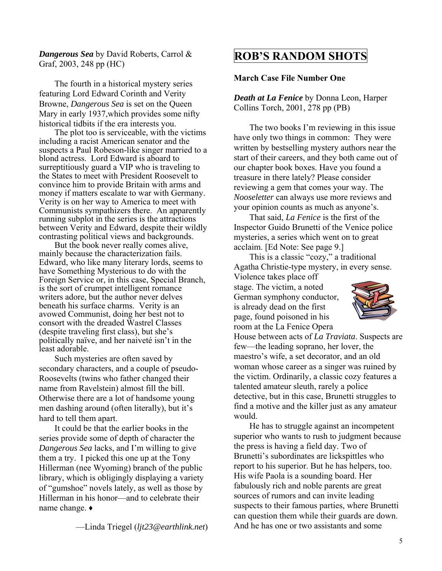*Dangerous Sea* by David Roberts, Carrol & Graf, 2003, 248 pp (HC)

The fourth in a historical mystery series featuring Lord Edward Corinth and Verity Browne, *Dangerous Sea* is set on the Queen Mary in early 1937,which provides some nifty historical tidbits if the era interests you.

 The plot too is serviceable, with the victims including a racist American senator and the suspects a Paul Robeson-like singer married to a blond actress. Lord Edward is aboard to surreptitiously guard a VIP who is traveling to the States to meet with President Roosevelt to convince him to provide Britain with arms and money if matters escalate to war with Germany. Verity is on her way to America to meet with Communists sympathizers there. An apparently running subplot in the series is the attractions between Verity and Edward, despite their wildly contrasting political views and backgrounds.

 But the book never really comes alive, mainly because the characterization fails. Edward, who like many literary lords, seems to have Something Mysterious to do with the Foreign Service or, in this case, Special Branch, is the sort of crumpet intelligent romance writers adore, but the author never delves beneath his surface charms. Verity is an avowed Communist, doing her best not to consort with the dreaded Wastrel Classes (despite traveling first class), but she's politically naïve, and her naiveté isn't in the least adorable.

 Such mysteries are often saved by secondary characters, and a couple of pseudo-Roosevelts (twins who father changed their name from Ravelstein) almost fill the bill. Otherwise there are a lot of handsome young men dashing around (often literally), but it's hard to tell them apart.

 It could be that the earlier books in the series provide some of depth of character the *Dangerous Sea* lacks, and I'm willing to give them a try. I picked this one up at the Tony Hillerman (nee Wyoming) branch of the public library, which is obligingly displaying a variety of "gumshoe" novels lately, as well as those by Hillerman in his honor—and to celebrate their name change. ♦

—Linda Triegel (*[ljt23@earthlink.net](mailto:ljt23@earthlink.net)*)

## **ROB'S RANDOM SHOTS**

#### **March Case File Number One**

*Death at La Fenice* by Donna Leon, Harper Collins Torch, 2001, 278 pp (PB)

The two books I'm reviewing in this issue have only two things in common: They were written by bestselling mystery authors near the start of their careers, and they both came out of our chapter book boxes. Have you found a treasure in there lately? Please consider reviewing a gem that comes your way. The *Nooseletter* can always use more reviews and your opinion counts as much as anyone's.

 That said, *La Fenice* is the first of the Inspector Guido Brunetti of the Venice police mysteries, a series which went on to great acclaim. [Ed Note: See page 9.]

 This is a classic "cozy," a traditional Agatha Christie-type mystery, in every sense.

Violence takes place off stage. The victim, a noted German symphony conductor, is already dead on the first page, found poisoned in his room at the La Fenice Opera



House between acts of *La Traviata*. Suspects are few—the leading soprano, her lover, the maestro's wife, a set decorator, and an old woman whose career as a singer was ruined by the victim. Ordinarily, a classic cozy features a talented amateur sleuth, rarely a police detective, but in this case, Brunetti struggles to find a motive and the killer just as any amateur would.

 He has to struggle against an incompetent superior who wants to rush to judgment because the press is having a field day. Two of Brunetti's subordinates are lickspittles who report to his superior. But he has helpers, too. His wife Paola is a sounding board. Her fabulously rich and noble parents are great sources of rumors and can invite leading suspects to their famous parties, where Brunetti can question them while their guards are down. And he has one or two assistants and some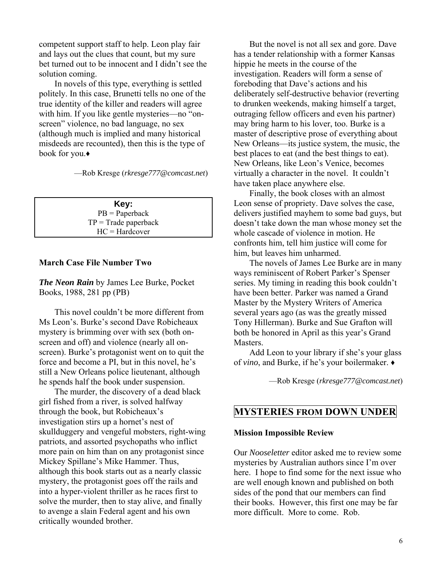competent support staff to help. Leon play fair and lays out the clues that count, but my sure bet turned out to be innocent and I didn't see the solution coming.

 In novels of this type, everything is settled politely. In this case, Brunetti tells no one of the true identity of the killer and readers will agree with him. If you like gentle mysteries—no "onscreen" violence, no bad language, no sex (although much is implied and many historical misdeeds are recounted), then this is the type of book for you.♦

—Rob Kresge (*[rkresge777@comcast.net](mailto:rkresge777@comcast.net)*)

**Key:**  PB = Paperback  $TP = Trade paperback$ HC = Hardcover

#### **March Case File Number Two**

*The Neon Rain* by James Lee Burke, Pocket Books, 1988, 281 pp (PB)

 This novel couldn't be more different from Ms Leon's. Burke's second Dave Robicheaux mystery is brimming over with sex (both onscreen and off) and violence (nearly all onscreen). Burke's protagonist went on to quit the force and become a PI, but in this novel, he's still a New Orleans police lieutenant, although he spends half the book under suspension.

 The murder, the discovery of a dead black girl fished from a river, is solved halfway through the book, but Robicheaux's investigation stirs up a hornet's nest of skullduggery and vengeful mobsters, right-wing patriots, and assorted psychopaths who inflict more pain on him than on any protagonist since Mickey Spillane's Mike Hammer. Thus, although this book starts out as a nearly classic mystery, the protagonist goes off the rails and into a hyper-violent thriller as he races first to solve the murder, then to stay alive, and finally to avenge a slain Federal agent and his own critically wounded brother.

 But the novel is not all sex and gore. Dave has a tender relationship with a former Kansas hippie he meets in the course of the investigation. Readers will form a sense of foreboding that Dave's actions and his deliberately self-destructive behavior (reverting to drunken weekends, making himself a target, outraging fellow officers and even his partner) may bring harm to his lover, too. Burke is a master of descriptive prose of everything about New Orleans—its justice system, the music, the best places to eat (and the best things to eat). New Orleans, like Leon's Venice, becomes virtually a character in the novel. It couldn't have taken place anywhere else.

 Finally, the book closes with an almost Leon sense of propriety. Dave solves the case, delivers justified mayhem to some bad guys, but doesn't take down the man whose money set the whole cascade of violence in motion. He confronts him, tell him justice will come for him, but leaves him unharmed.

 The novels of James Lee Burke are in many ways reminiscent of Robert Parker's Spenser series. My timing in reading this book couldn't have been better. Parker was named a Grand Master by the Mystery Writers of America several years ago (as was the greatly missed Tony Hillerman). Burke and Sue Grafton will both be honored in April as this year's Grand Masters.

 Add Leon to your library if she's your glass of *vino*, and Burke, if he's your boilermaker. ♦

—Rob Kresge (*[rkresge777@comcast.net](mailto:rkresge777@comcast.net)*)

#### **MYSTERIES FROM DOWN UNDER**

#### **Mission Impossible Review**

Our *Nooseletter* editor asked me to review some mysteries by Australian authors since I'm over here. I hope to find some for the next issue who are well enough known and published on both sides of the pond that our members can find their books. However, this first one may be far more difficult. More to come. Rob.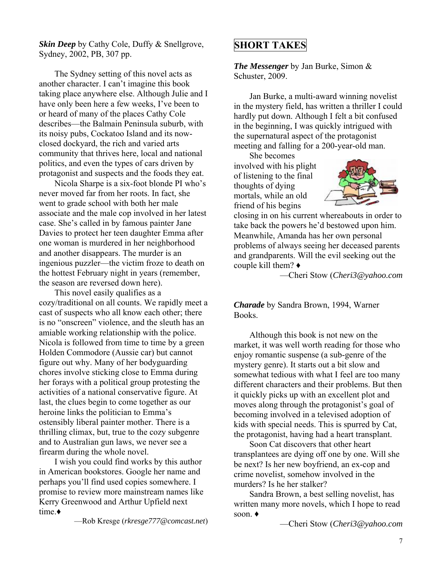*Skin Deep* by Cathy Cole, Duffy & Snellgrove, Sydney, 2002, PB, 307 pp.

 The Sydney setting of this novel acts as another character. I can't imagine this book taking place anywhere else. Although Julie and I have only been here a few weeks, I've been to or heard of many of the places Cathy Cole describes—the Balmain Peninsula suburb, with its noisy pubs, Cockatoo Island and its nowclosed dockyard, the rich and varied arts community that thrives here, local and national politics, and even the types of cars driven by protagonist and suspects and the foods they eat.

 Nicola Sharpe is a six-foot blonde PI who's never moved far from her roots. In fact, she went to grade school with both her male associate and the male cop involved in her latest case. She's called in by famous painter Jane Davies to protect her teen daughter Emma after one woman is murdered in her neighborhood and another disappears. The murder is an ingenious puzzler—the victim froze to death on the hottest February night in years (remember, the season are reversed down here).

 This novel easily qualifies as a cozy/traditional on all counts. We rapidly meet a cast of suspects who all know each other; there is no "onscreen" violence, and the sleuth has an amiable working relationship with the police. Nicola is followed from time to time by a green Holden Commodore (Aussie car) but cannot figure out why. Many of her bodyguarding chores involve sticking close to Emma during her forays with a political group protesting the activities of a national conservative figure. At last, the clues begin to come together as our heroine links the politician to Emma's ostensibly liberal painter mother. There is a thrilling climax, but, true to the cozy subgenre and to Australian gun laws, we never see a firearm during the whole novel.

 I wish you could find works by this author in American bookstores. Google her name and perhaps you'll find used copies somewhere. I promise to review more mainstream names like Kerry Greenwood and Arthur Upfield next time.**♦**

—Rob Kresge (*[rkresge777@comcast.net](mailto:rkresge777@comcast.net)*)

## **SHORT TAKES**

*The Messenger* by Jan Burke, Simon & Schuster, 2009.

 Jan Burke, a multi-award winning novelist in the mystery field, has written a thriller I could hardly put down. Although I felt a bit confused in the beginning, I was quickly intrigued with the supernatural aspect of the protagonist meeting and falling for a 200-year-old man.

 She becomes involved with his plight of listening to the final thoughts of dying mortals, while an old friend of his begins



closing in on his current whereabouts in order to take back the powers he'd bestowed upon him. Meanwhile, Amanda has her own personal problems of always seeing her deceased parents and grandparents. Will the evil seeking out the couple kill them? **♦**

—Cheri Stow (*[Cheri3@yahoo.com](mailto:ljt23@earthlink.net)*

*Charade* by Sandra Brown, 1994, Warner Books.

Although this book is not new on the market, it was well worth reading for those who enjoy romantic suspense (a sub-genre of the mystery genre). It starts out a bit slow and somewhat tedious with what I feel are too many different characters and their problems. But then it quickly picks up with an excellent plot and moves along through the protagonist's goal of becoming involved in a televised adoption of kids with special needs. This is spurred by Cat, the protagonist, having had a heart transplant.

 Soon Cat discovers that other heart transplantees are dying off one by one. Will she be next? Is her new boyfriend, an ex-cop and crime novelist, somehow involved in the murders? Is he her stalker?

 Sandra Brown, a best selling novelist, has written many more novels, which I hope to read soon. **♦**

—Cheri Stow (*[Cheri3@yahoo.com](mailto:ljt23@earthlink.net)*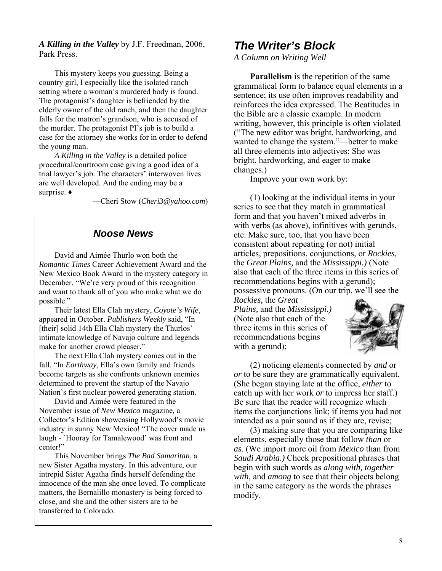*A Killing in the Valley* by J.F. Freedman, 2006, Park Press.

This mystery keeps you guessing. Being a country girl, I especially like the isolated ranch setting where a woman's murdered body is found. The protagonist's daughter is befriended by the elderly owner of the old ranch, and then the daughter falls for the matron's grandson, who is accused of the murder. The protagonist PI's job is to build a case for the attorney she works for in order to defend the young man.

*A Killing in the Valley* is a detailed police procedural/courtroom case giving a good idea of a trial lawyer's job. The characters' interwoven lives are well developed. And the ending may be a surprise. **♦**

—Cheri Stow (*[Cheri3@yahoo.com](mailto:ljt23@earthlink.net)*)

#### *Noose News*

 David and Aimée Thurlo won both the *Romantic Times* Career Achievement Award and the New Mexico Book Award in the mystery category in December. "We're very proud of this recognition and want to thank all of you who make what we do possible."

 Their latest Ella Clah mystery, *Coyote's Wife*, appeared in October. *Publishers Weekly* said, "In [their] solid 14th Ella Clah mystery the Thurlos' intimate knowledge of Navajo culture and legends make for another crowd pleaser."

 The next Ella Clah mystery comes out in the fall. "In *Earthway*, Ella's own family and friends become targets as she confronts unknown enemies determined to prevent the startup of the Navajo Nation's first nuclear powered generating station.

 David and Aimée were featured in the November issue of *New Mexico* magazine*,* a Collector's Edition showcasing Hollywood's movie industry in sunny New Mexico! "The cover made us laugh - `Hooray for Tamalewood' was front and center!"

 This November brings *The Bad Samaritan*, a new Sister Agatha mystery. In this adventure, our intrepid Sister Agatha finds herself defending the innocence of the man she once loved. To complicate matters, the Bernalillo monastery is being forced to close, and she and the other sisters are to be transferred to Colorado.

## *The Writer's Block*

*A Column on Writing Well* 

**Parallelism** is the repetition of the same grammatical form to balance equal elements in a sentence; its use often improves readability and reinforces the idea expressed. The Beatitudes in the Bible are a classic example. In modern writing, however, this principle is often violated ("The new editor was bright, hardworking, and wanted to change the system."—better to make all three elements into adjectives: She was bright, hardworking, and eager to make changes.)

Improve your own work by:

 (1) looking at the individual items in your series to see that they match in grammatical form and that you haven't mixed adverbs in with verbs (as above), infinitives with gerunds, etc. Make sure, too, that you have been consistent about repeating (or not) initial articles, prepositions, conjunctions, or *Rockies,*  the *Great Plains,* and the *Mississippi.)* (Note also that each of the three items in this series of recommendations begins with a gerund); possessive pronouns. (On our trip, we'll see the

*Rockies,* the *Great Plains,* and the *Mississippi.)*  (Note also that each of the three items in this series of recommendations begins with a gerund);



 (2) noticing elements connected by *and* or *or* to be sure they are grammatically equivalent. (She began staying late at the office, *either* to catch up with her work *or* to impress her staff.) Be sure that the reader will recognize which items the conjunctions link; if items you had not intended as a pair sound as if they are, revise;

 (3) making sure that you are comparing like elements, especially those that follow *than* or *as.* (We import more oil from *Mexico* than from *Saudi Arabia.)* Check prepositional phrases that begin with such words as *along with, together with,* and *among* to see that their objects belong in the same category as the words the phrases modify.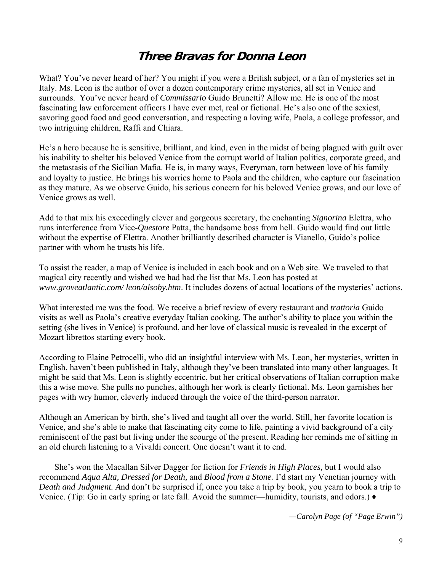## **Three Bravas for Donna Leon**

What? You've never heard of her? You might if you were a British subject, or a fan of mysteries set in Italy. Ms. Leon is the author of over a dozen contemporary crime mysteries, all set in Venice and surrounds. You've never heard of *Commissario* Guido Brunetti? Allow me. He is one of the most fascinating law enforcement officers I have ever met, real or fictional. He's also one of the sexiest, savoring good food and good conversation, and respecting a loving wife, Paola, a college professor, and two intriguing children, Raffi and Chiara.

He's a hero because he is sensitive, brilliant, and kind, even in the midst of being plagued with guilt over his inability to shelter his beloved Venice from the corrupt world of Italian politics, corporate greed, and the metastasis of the Sicilian Mafia. He is, in many ways, Everyman, torn between love of his family and loyalty to justice. He brings his worries home to Paola and the children, who capture our fascination as they mature. As we observe Guido, his serious concern for his beloved Venice grows, and our love of Venice grows as well.

Add to that mix his exceedingly clever and gorgeous secretary, the enchanting *Signorina* Elettra, who runs interference from Vice-*Questore* Patta, the handsome boss from hell. Guido would find out little without the expertise of Elettra. Another brilliantly described character is Vianello, Guido's police partner with whom he trusts his life.

To assist the reader, a map of Venice is included in each book and on a Web site. We traveled to that magical city recently and wished we had had the list that Ms. Leon has posted at *[www.groveatlantic.com/ leon](http://www.groveatlantic.com/%20leon)/alsoby.htm*. It includes dozens of actual locations of the mysteries' actions.

What interested me was the food. We receive a brief review of every restaurant and *trattoria* Guido visits as well as Paola's creative everyday Italian cooking. The author's ability to place you within the setting (she lives in Venice) is profound, and her love of classical music is revealed in the excerpt of Mozart librettos starting every book.

According to Elaine Petrocelli, who did an insightful interview with Ms. Leon, her mysteries, written in English, haven't been published in Italy, although they've been translated into many other languages. It might be said that Ms. Leon is slightly eccentric, but her critical observations of Italian corruption make this a wise move. She pulls no punches, although her work is clearly fictional. Ms. Leon garnishes her pages with wry humor, cleverly induced through the voice of the third-person narrator.

Although an American by birth, she's lived and taught all over the world. Still, her favorite location is Venice, and she's able to make that fascinating city come to life, painting a vivid background of a city reminiscent of the past but living under the scourge of the present. Reading her reminds me of sitting in an old church listening to a Vivaldi concert. One doesn't want it to end.

 She's won the Macallan Silver Dagger for fiction for *Friends in High Places,* but I would also recommend *Aqua Alta, Dressed for Death,* and *Blood from a Stone.* I'd start my Venetian journey with *Death and Judgment. A*nd don't be surprised if, once you take a trip by book, you yearn to book a trip to Venice. (Tip: Go in early spring or late fall. Avoid the summer—humidity, tourists, and odors.) **♦**

*—Carolyn Page (of "Page Erwin")*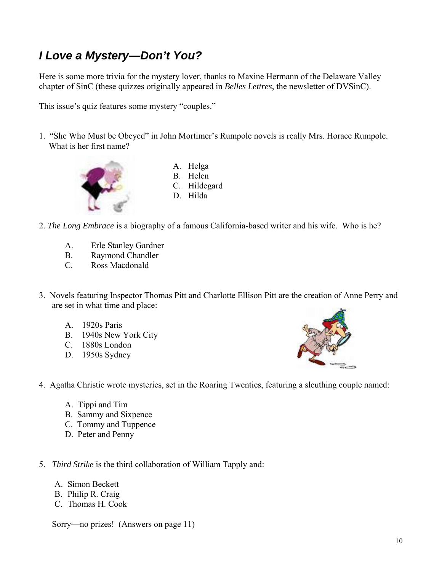# *I Love a Mystery—Don't You?*

Here is some more trivia for the mystery lover, thanks to Maxine Hermann of the Delaware Valley chapter of SinC (these quizzes originally appeared in *Belles Lettres*, the newsletter of DVSinC).

This issue's quiz features some mystery "couples."

1. "She Who Must be Obeyed" in John Mortimer's Rumpole novels is really Mrs. Horace Rumpole. What is her first name?



- A. Helga B. Helen C. Hildegard D. Hilda
- 2. *The Long Embrace* is a biography of a famous California-based writer and his wife. Who is he?
	- A. Erle Stanley Gardner
	- B. Raymond Chandler
	- C. Ross Macdonald
- 3. Novels featuring Inspector Thomas Pitt and Charlotte Ellison Pitt are the creation of Anne Perry and are set in what time and place:
	- A. 1920s Paris
	- B. 1940s New York City
	- C. 1880s London
	- D. 1950s Sydney



- 4. Agatha Christie wrote mysteries, set in the Roaring Twenties, featuring a sleuthing couple named:
	- A. Tippi and Tim
	- B. Sammy and Sixpence
	- C. Tommy and Tuppence
	- D. Peter and Penny
- 5. *Third Strike* is the third collaboration of William Tapply and:
	- A. Simon Beckett
	- B. Philip R. Craig
	- C. Thomas H. Cook

Sorry—no prizes! (Answers on page 11)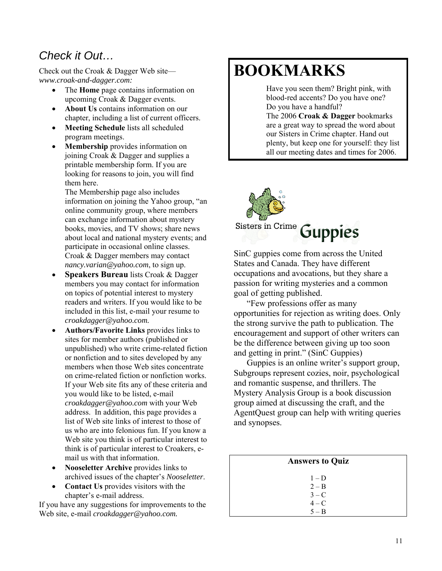## *Check it Out…*

Check out the Croak & Dagger Web site *[www.croak-and-dagger.com:](http://www.croak-and-dagger.com/)* 

- The **Home** page contains information on upcoming Croak & Dagger events.
- **About Us** contains information on our chapter, including a list of current officers.
- **Meeting Schedule** lists all scheduled program meetings.
- **Membership** provides information on joining Croak & Dagger and supplies a printable membership form. If you are looking for reasons to join, you will find them here.

The Membership page also includes information on joining the Yahoo group, "an online community group, where members can exchange information about mystery books, movies, and TV shows; share news about local and national mystery events; and participate in occasional online classes. Croak & Dagger members may contact *nancy.varian@yahoo.com*, to sign up.

- **Speakers Bureau** lists Croak & Dagger members you may contact for information on topics of potential interest to mystery readers and writers. If you would like to be included in this list, e-mail your resume to *[croakdagger@yahoo.com](mailto:croakdagger@yahoo.com).*
- **Authors/Favorite Links** provides links to sites for member authors (published or unpublished) who write crime-related fiction or nonfiction and to sites developed by any members when those Web sites concentrate on crime-related fiction or nonfiction works. If your Web site fits any of these criteria and you would like to be listed, e-mail *[croakdagger@yahoo.com](mailto:croakdagger@yahoo.com)* with your Web address. In addition, this page provides a list of Web site links of interest to those of us who are into felonious fun. If you know a Web site you think is of particular interest to think is of particular interest to Croakers, email [us](mailto:croakdagger@yahoo.com) with that information.
- **Nooseletter Archive** provides links to archived issues of the chapter's *Nooseletter*.
- **Contact Us** provides visitors with the chapter's e-mail address.

If you have any suggestions for improvements to the Web site, e-mail *[croakdagger@yahoo.com](mailto:croakdagger@yahoo.com).* 

# **BOOKMARKS**

 Have you seen them? Bright pink, with blood-red accents? Do you have one? Do you have a handful?

 The 2006 **Croak & Dagger** bookmarks are a great way to spread the word about our Sisters in Crime chapter. Hand out plenty, but keep one for yourself: they list all our meeting dates and times for 2006.



SinC guppies come from across the United States and Canada. They have different occupations and avocations, but they share a passion for writing mysteries and a common goal of getting published.

"Few professions offer as many opportunities for rejection as writing does. Only the strong survive the path to publication. The encouragement and support of other writers can be the difference between giving up too soon and getting in print." (SinC Guppies)

Guppies is an online writer's support group, Subgroups represent cozies, noir, psychological and romantic suspense, and thrillers. The Mystery Analysis Group is a book discussion group aimed at discussing the craft, and the AgentQuest group can help with writing queries and synopses.

## **Answers to Quiz**

 $1 - D$  $2 - B$  $3 - C$  $4 - C$  $5 - B$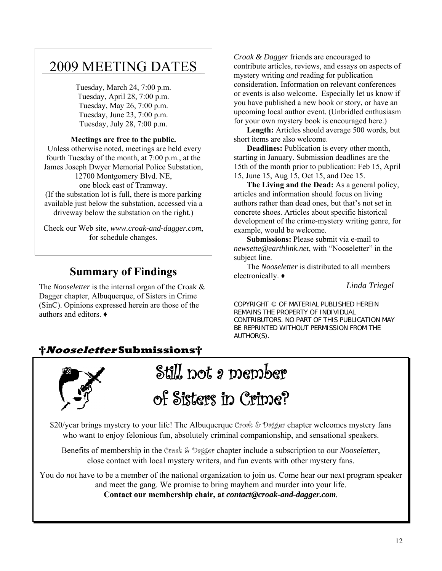# \_\_\_\_\_\_\_\_\_\_\_\_\_\_\_\_\_\_\_\_\_\_\_\_\_\_\_\_\_\_\_\_\_\_\_\_\_\_\_\_\_ 2009 MEETING DATES

Tuesday, March 24, 7:00 p.m. Tuesday, April 28, 7:00 p.m. Tuesday, May 26, 7:00 p.m. Tuesday, June 23, 7:00 p.m. Tuesday, July 28, 7:00 p.m.

#### **Meetings are free to the public.**

 Unless otherwise noted, meetings are held every fourth Tuesday of the month, at 7:00 p.m., at the James Joseph Dwyer Memorial Police Substation, 12700 Montgomery Blvd. NE,

one block east of Tramway.

(If the substation lot is full, there is more parking available just below the substation, accessed via a driveway below the substation on the right.)

Check our Web site, *www.croak-and-dagger.com*, for schedule changes.

## **Summary of Findings**

The *Nooseletter* is the internal organ of the Croak & Dagger chapter, Albuquerque, of Sisters in Crime (SinC). Opinions expressed herein are those of the authors and editors. ♦

*Croak & Dagger* friends are encouraged to contribute articles, reviews, and essays on aspects of mystery writing *and* reading for publication consideration. Information on relevant conferences or events is also welcome. Especially let us know if you have published a new book or story, or have an upcoming local author event. (Unbridled enthusiasm for your own mystery book is encouraged here.)

**Length:** Articles should average 500 words, but short items are also welcome.

**Deadlines:** Publication is every other month, starting in January. Submission deadlines are the 15th of the month prior to publication: Feb 15, April 15, June 15, Aug 15, Oct 15, and Dec 15.

**The Living and the Dead:** As a general policy, articles and information should focus on living authors rather than dead ones, but that's not set in concrete shoes. Articles about specific historical development of the crime-mystery writing genre, for example, would be welcome.

**Submissions:** Please submit via e-mail to *newsette@earthlink.net*, with "Nooseletter" in the subject line.

The *Nooseletter* is distributed to all members electronically. ♦

—*Linda Triegel*

COPYRIGHT © OF MATERIAL PUBLISHED HEREIN REMAINS THE PROPERTY OF INDIVIDUAL CONTRIBUTORS. NO PART OF THIS PUBLICATION MAY BE REPRINTED WITHOUT PERMISSION FROM THE AUTHOR(S).

## **†Nooseletter Submissions†**



Still not a member of Sisters in Crime?

\$20/year brings mystery to your life! The Albuquerque Croak & Dagger chapter welcomes mystery fans who want to enjoy felonious fun, absolutely criminal companionship, and sensational speakers.

Benefits of membership in the Croak & Dagger chapter include a subscription to our *Nooseletter*, close contact with local mystery writers, and fun events with other mystery fans.

You do *not* have to be a member of the national organization to join us. Come hear our next program speaker and meet the gang. We promise to bring mayhem and murder into your life.

**Contact our membership chair, at** *[contact@croak-and-dagger.com](mailto:contact@croak-and-dagger.com).*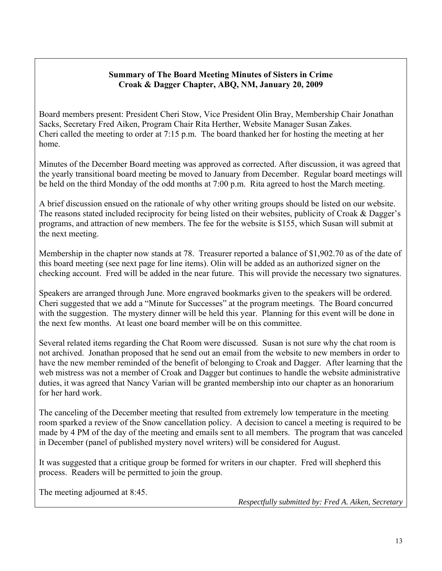#### **Summary of The Board Meeting Minutes of Sisters in Crime Croak & Dagger Chapter, ABQ, NM, January 20, 2009**

Board members present: President Cheri Stow, Vice President Olin Bray, Membership Chair Jonathan Sacks, Secretary Fred Aiken, Program Chair Rita Herther, Website Manager Susan Zakes. Cheri called the meeting to order at 7:15 p.m. The board thanked her for hosting the meeting at her home.

Minutes of the December Board meeting was approved as corrected. After discussion, it was agreed that the yearly transitional board meeting be moved to January from December. Regular board meetings will be held on the third Monday of the odd months at 7:00 p.m. Rita agreed to host the March meeting.

A brief discussion ensued on the rationale of why other writing groups should be listed on our website. The reasons stated included reciprocity for being listed on their websites, publicity of Croak & Dagger's programs, and attraction of new members. The fee for the website is \$155, which Susan will submit at the next meeting.

Membership in the chapter now stands at 78. Treasurer reported a balance of \$1,902.70 as of the date of this board meeting (see next page for line items). Olin will be added as an authorized signer on the checking account. Fred will be added in the near future. This will provide the necessary two signatures.

Speakers are arranged through June. More engraved bookmarks given to the speakers will be ordered. Cheri suggested that we add a "Minute for Successes" at the program meetings. The Board concurred with the suggestion. The mystery dinner will be held this year. Planning for this event will be done in the next few months. At least one board member will be on this committee.

Several related items regarding the Chat Room were discussed. Susan is not sure why the chat room is not archived. Jonathan proposed that he send out an email from the website to new members in order to have the new member reminded of the benefit of belonging to Croak and Dagger. After learning that the web mistress was not a member of Croak and Dagger but continues to handle the website administrative duties, it was agreed that Nancy Varian will be granted membership into our chapter as an honorarium for her hard work.

The canceling of the December meeting that resulted from extremely low temperature in the meeting room sparked a review of the Snow cancellation policy. A decision to cancel a meeting is required to be made by 4 PM of the day of the meeting and emails sent to all members. The program that was canceled in December (panel of published mystery novel writers) will be considered for August.

It was suggested that a critique group be formed for writers in our chapter. Fred will shepherd this process. Readers will be permitted to join the group.

The meeting adjourned at 8:45.

*Respectfully submitted by: Fred A. Aiken, Secretary*